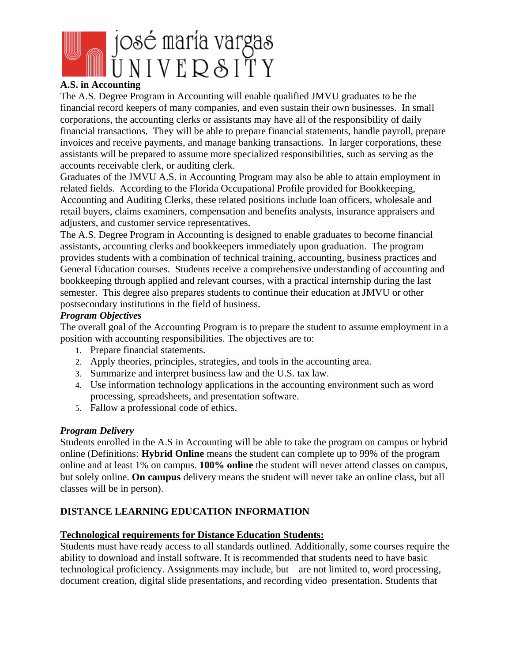

### **A.S. in Accounting**

The A.S. Degree Program in Accounting will enable qualified JMVU graduates to be the financial record keepers of many companies, and even sustain their own businesses. In small corporations, the accounting clerks or assistants may have all of the responsibility of daily financial transactions. They will be able to prepare financial statements, handle payroll, prepare invoices and receive payments, and manage banking transactions. In larger corporations, these assistants will be prepared to assume more specialized responsibilities, such as serving as the accounts receivable clerk, or auditing clerk.

Graduates of the JMVU A.S. in Accounting Program may also be able to attain employment in related fields. According to the Florida Occupational Profile provided for Bookkeeping, Accounting and Auditing Clerks, these related positions include loan officers, wholesale and retail buyers, claims examiners, compensation and benefits analysts, insurance appraisers and adjusters, and customer service representatives.

The A.S. Degree Program in Accounting is designed to enable graduates to become financial assistants, accounting clerks and bookkeepers immediately upon graduation. The program provides students with a combination of technical training, accounting, business practices and General Education courses. Students receive a comprehensive understanding of accounting and bookkeeping through applied and relevant courses, with a practical internship during the last semester. This degree also prepares students to continue their education at JMVU or other postsecondary institutions in the field of business.

### *Program Objectives*

The overall goal of the Accounting Program is to prepare the student to assume employment in a position with accounting responsibilities. The objectives are to:

- 1. Prepare financial statements.
- 2. Apply theories, principles, strategies, and tools in the accounting area.
- 3. Summarize and interpret business law and the U.S. tax law.
- 4. Use information technology applications in the accounting environment such as word processing, spreadsheets, and presentation software.
- 5. Fallow a professional code of ethics.

### *Program Delivery*

Students enrolled in the A.S in Accounting will be able to take the program on campus or hybrid online (Definitions: **Hybrid Online** means the student can complete up to 99% of the program online and at least 1% on campus. **100% online** the student will never attend classes on campus, but solely online. **On campus** delivery means the student will never take an online class, but all classes will be in person).

## **DISTANCE LEARNING EDUCATION INFORMATION**

### **Technological requirements for Distance Education Students:**

Students must have ready access to all standards outlined. Additionally, some courses require the ability to download and install software. It is recommended that students need to have basic technological proficiency. Assignments may include, but are not limited to, word processing, document creation, digital slide presentations, and recording video presentation. Students that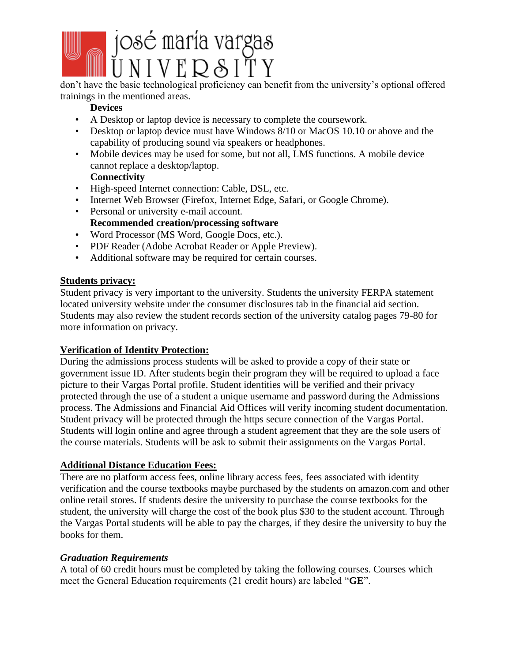

don't have the basic technological proficiency can benefit from the university's optional offered trainings in the mentioned areas.

# **Devices**

- A Desktop or laptop device is necessary to complete the coursework.
- Desktop or laptop device must have Windows 8/10 or MacOS 10.10 or above and the capability of producing sound via speakers or headphones.
- Mobile devices may be used for some, but not all, LMS functions. A mobile device cannot replace a desktop/laptop.

## **Connectivity**

- High-speed Internet connection: Cable, DSL, etc.
- Internet Web Browser (Firefox, Internet Edge, Safari, or Google Chrome).
- Personal or university e-mail account. **Recommended creation/processing software**
- Word Processor (MS Word, Google Docs, etc.).
- PDF Reader (Adobe Acrobat Reader or Apple Preview).
- Additional software may be required for certain courses.

# **Students privacy:**

Student privacy is very important to the university. Students the university FERPA statement located university website under the consumer disclosures tab in the financial aid section. Students may also review the student records section of the university catalog pages 79-80 for more information on privacy.

## **Verification of Identity Protection:**

During the admissions process students will be asked to provide a copy of their state or government issue ID. After students begin their program they will be required to upload a face picture to their Vargas Portal profile. Student identities will be verified and their privacy protected through the use of a student a unique username and password during the Admissions process. The Admissions and Financial Aid Offices will verify incoming student documentation. Student privacy will be protected through the https secure connection of the Vargas Portal. Students will login online and agree through a student agreement that they are the sole users of the course materials. Students will be ask to submit their assignments on the Vargas Portal.

## **Additional Distance Education Fees:**

There are no platform access fees, online library access fees, fees associated with identity verification and the course textbooks maybe purchased by the students on amazon.com and other online retail stores. If students desire the university to purchase the course textbooks for the student, the university will charge the cost of the book plus \$30 to the student account. Through the Vargas Portal students will be able to pay the charges, if they desire the university to buy the books for them.

## *Graduation Requirements*

A total of 60 credit hours must be completed by taking the following courses. Courses which meet the General Education requirements (21 credit hours) are labeled "**GE**".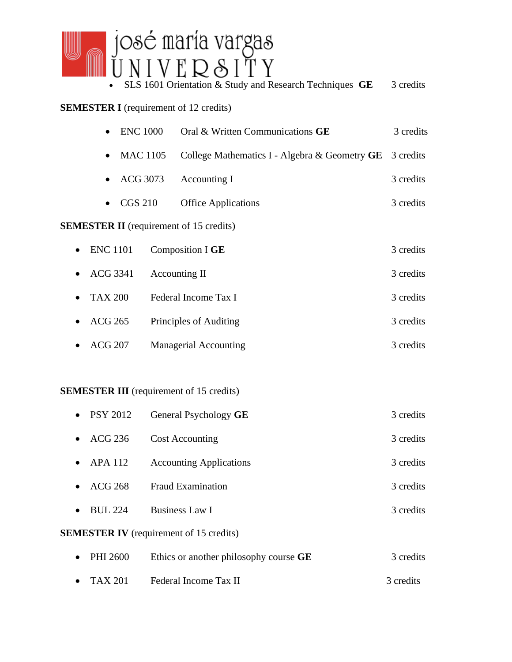# josé maría vargas<br>U N I V E R & I T Y

• SLS 1601 Orientation & Study and Research Techniques **GE** 3 credits

# **SEMESTER I** (requirement of 12 credits)

|                                                | <b>ENC 1000</b>              |  | Oral & Written Communications GE                          | 3 credits |  |  |  |  |
|------------------------------------------------|------------------------------|--|-----------------------------------------------------------|-----------|--|--|--|--|
|                                                | <b>MAC 1105</b><br>$\bullet$ |  | College Mathematics I - Algebra & Geometry $GE$ 3 credits |           |  |  |  |  |
|                                                | ACG 3073<br>$\bullet$        |  | Accounting I                                              | 3 credits |  |  |  |  |
|                                                | <b>CGS 210</b><br>$\bullet$  |  | <b>Office Applications</b>                                | 3 credits |  |  |  |  |
| <b>SEMESTER II</b> (requirement of 15 credits) |                              |  |                                                           |           |  |  |  |  |
| $\bullet$                                      | <b>ENC</b> 1101              |  | Composition I GE                                          | 3 credits |  |  |  |  |
|                                                | ACG 3341                     |  | Accounting II                                             | 3 credits |  |  |  |  |
|                                                | <b>TAX 200</b>               |  | Federal Income Tax I                                      | 3 credits |  |  |  |  |
|                                                | <b>ACG 265</b>               |  | Principles of Auditing                                    | 3 credits |  |  |  |  |
|                                                | <b>ACG 207</b>               |  | <b>Managerial Accounting</b>                              | 3 credits |  |  |  |  |
|                                                |                              |  |                                                           |           |  |  |  |  |

# **SEMESTER III** (requirement of 15 credits)

| $\bullet$ PSY 2012                             | General Psychology GE                  | 3 credits |  |  |  |  |  |
|------------------------------------------------|----------------------------------------|-----------|--|--|--|--|--|
| ACG 236<br>$\bullet$                           | <b>Cost Accounting</b>                 | 3 credits |  |  |  |  |  |
| <b>APA 112</b><br>$\bullet$                    | <b>Accounting Applications</b>         | 3 credits |  |  |  |  |  |
| ACG 268<br>$\bullet$                           | <b>Fraud Examination</b>               | 3 credits |  |  |  |  |  |
| <b>BUL 224</b><br>$\bullet$                    | <b>Business Law I</b>                  | 3 credits |  |  |  |  |  |
| <b>SEMESTER IV</b> (requirement of 15 credits) |                                        |           |  |  |  |  |  |
| PHI 2600<br>$\bullet$                          | Ethics or another philosophy course GE | 3 credits |  |  |  |  |  |
| TAX 201<br>$\bullet$                           | Federal Income Tax II                  | 3 credits |  |  |  |  |  |